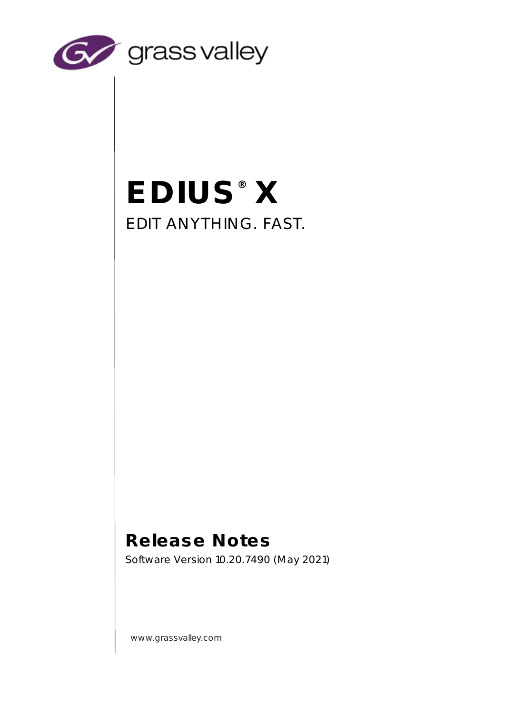

# EDIUS® X EDIT ANYTHING. FAST.

Release Notes

Software Version 10.20.7490 (May 2021)

www.grassvalley.com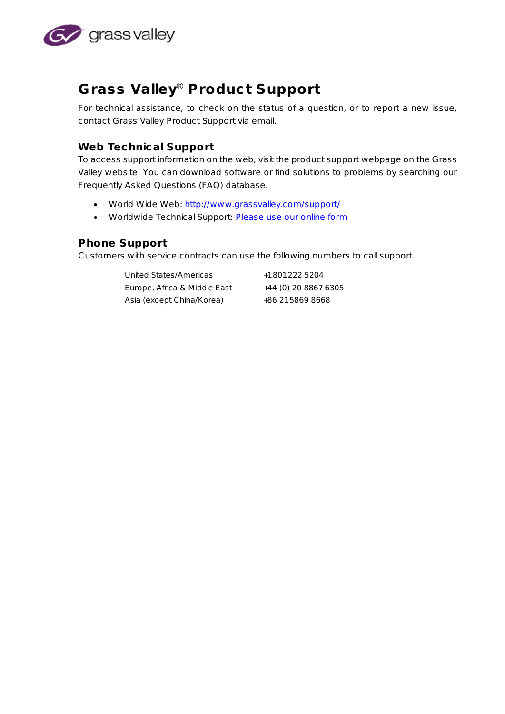

# Grass Valley® Product Support

For technical assistance, to check on the status of a question, or to report a new issue, contact Grass Valley Product Support via email.

### Web Technical Support

To access support information on the web, visit the product support webpage on the Grass Valley website. You can download software or find solutions to problems by searching our Frequently Asked Questions (FAQ) database.

- World Wide Web:<http://www.grassvalley.com/support/>
- Worldwide Technical Support: [Please use our online form](http://www.grassvalley.com/ad/contact_customer_support)

### Phone Support

Customers with service contracts can use the following numbers to call support.

| <b>United States/Americas</b> | +1 801 222 5204      |
|-------------------------------|----------------------|
| Europe, Africa & Middle East  | +44 (0) 20 8867 6305 |
| Asia (except China/Korea)     | +86 21 5869 8668     |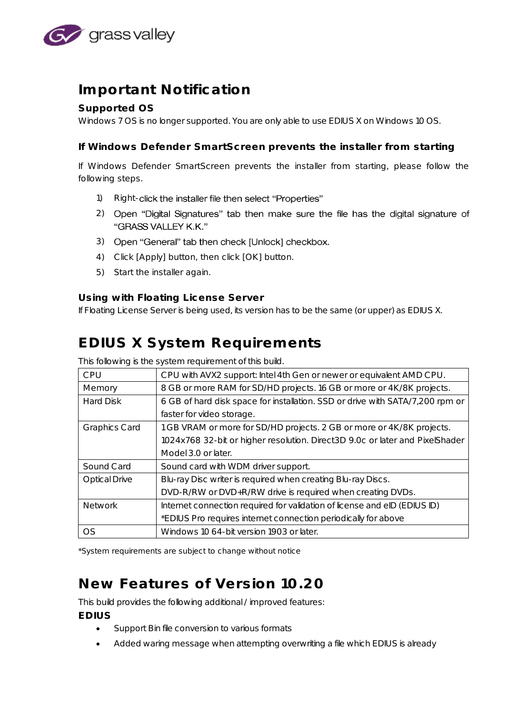

### Important Notification

### Supported OS

Windows 7 OS is no longer supported. You are only able to use EDIUS X on Windows 10 OS.

#### If Windows Defender SmartScreen prevents the installer from starting

If Windows Defender SmartScreen prevents the installer from starting, please follow the following steps.

- 1) Right-click the installer file then select "Properties"
- 2) Open "Digital Signatures" tab then make sure the file has the digital signature of "GRASS VALLEY K.K."
- 3) Open "General" tab then check [Unlock] checkbox.
- 4) Click [Apply] button, then click [OK] button.
- 5) Start the installer again.

Using with Floating License Server

If Floating License Server is being used, its version has to be the same (or upper) as EDIUS X.

### EDIUS X System Requirements

*This following is the system requirement of this build.*

| CPU                  | CPU with AVX2 support: Intel 4th Gen or newer or equivalent AMD CPU.          |
|----------------------|-------------------------------------------------------------------------------|
| Memory               | 8 GB or more RAM for SD/HD projects. 16 GB or more or 4K/8K projects.         |
| <b>Hard Disk</b>     | 6 GB of hard disk space for installation. SSD or drive with SATA/7,200 rpm or |
|                      | faster for video storage.                                                     |
| <b>Graphics Card</b> | 1 GB VRAM or more for SD/HD projects. 2 GB or more or 4K/8K projects.         |
|                      | 1024x768 32-bit or higher resolution. Direct3D 9.0c or later and PixelShader  |
|                      | Model 3.0 or later.                                                           |
| Sound Card           | Sound card with WDM driver support.                                           |
| <b>Optical Drive</b> | Blu-ray Disc writer is required when creating Blu-ray Discs.                  |
|                      | DVD-R/RW or DVD+R/RW drive is required when creating DVDs.                    |
| Network              | Internet connection required for validation of license and eID (EDIUS ID)     |
|                      | *EDIUS Pro requires internet connection periodically for above                |
| <b>OS</b>            | Windows 10 64-bit version 1903 or later.                                      |

*\*System requirements are subject to change without notice*

# New Features of Version 10.20

*This build provides the following additional / improved features:* EDIUS

- Support Bin file conversion to various formats
- Added waring message when attempting overwriting a file which EDIUS is already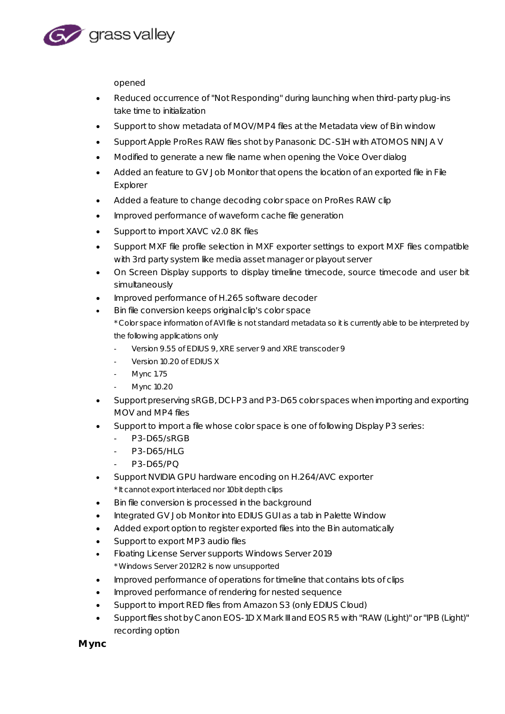

opened

- Reduced occurrence of "Not Responding" during launching when third-party plug-ins take time to initialization
- Support to show metadata of MOV/MP4 files at the Metadata view of Bin window
- Support Apple ProRes RAW files shot by Panasonic DC-S1H with ATOMOS NINJA V
- Modified to generate a new file name when opening the Voice Over dialog
- Added an feature to GV Job Monitor that opens the location of an exported file in File Explorer
- Added a feature to change decoding color space on ProRes RAW clip
- Improved performance of waveform cache file generation
- Support to import XAVC v2.0 8K files
- Support MXF file profile selection in MXF exporter settings to export MXF files compatible with 3rd party system like media asset manager or playout server
- On Screen Display supports to display timeline timecode, source timecode and user bit simultaneously
- Improved performance of H.265 software decoder
- Bin file conversion keeps original clip's color space *\* Color space information of AVI file is not standard metadata so it is currently able to be interpreted by the following applications only*
	- *Version 9.55 of EDIUS 9, XRE server 9 and XRE transcoder 9*
	- *Version 10.20 of EDIUS X*
	- *Mync 1.75*
	- *Mync 10.20*
- Support preserving sRGB, DCI-P3 and P3-D65 color spaces when importing and exporting MOV and MP4 files
- Support to import a file whose color space is one of following Display P3 series:
	- P3-D65/sRGB
	- P3-D65/HLG
	- P3-D65/PQ
- Support NVIDIA GPU hardware encoding on H.264/AVC exporter *\* It cannot export interlaced nor 10bit depth clips*
- Bin file conversion is processed in the background
- Integrated GV Job Monitor into EDIUS GUI as a tab in Palette Window
- Added export option to register exported files into the Bin automatically
- Support to export MP3 audio files
- Floating License Server supports Windows Server 2019 *\* Windows Server 2012R2 is now unsupported*
- Improved performance of operations for timeline that contains lots of clips
- Improved performance of rendering for nested sequence
- Support to import RED files from Amazon S3 (only EDIUS Cloud)
- Support files shot by Canon EOS-1D X Mark III and EOS R5 with "RAW (Light)" or "IPB (Light)" recording option

Mync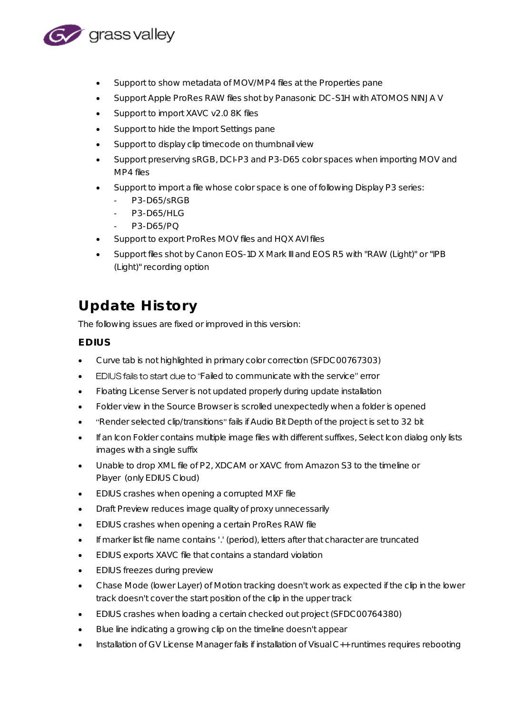

- Support to show metadata of MOV/MP4 files at the Properties pane
- Support Apple ProRes RAW files shot by Panasonic DC-S1H with ATOMOS NINJA V
- Support to import XAVC v2.0 8K files
- Support to hide the Import Settings pane
- Support to display clip timecode on thumbnail view
- Support preserving sRGB, DCI-P3 and P3-D65 color spaces when importing MOV and MP4 files
- Support to import a file whose color space is one of following Display P3 series:
	- P3-D65/sRGB
	- P3-D65/HLG
	- P3-D65/PQ
- Support to export ProRes MOV files and HQX AVI files
- Support files shot by Canon EOS-1D X Mark III and EOS R5 with "RAW (Light)" or "IPB (Light)" recording option

# Update History

*The following issues are fixed or improved in this version:*

### **FDIUS**

- Curve tab is not highlighted in primary color correction (SFDC00767303)
- EDIUS fails to start due to "Failed to communicate with the service" error
- Floating License Server is not updated properly during update installation
- Folder view in the Source Browser is scrolled unexpectedly when a folder is opened
- "Render selected clip/transitions" fails if Audio Bit Depth of the project is set to 32 bit
- If an Icon Folder contains multiple image files with different suffixes, Select Icon dialog only lists images with a single suffix
- Unable to drop XML file of P2, XDCAM or XAVC from Amazon S3 to the timeline or Player (only EDIUS Cloud)
- EDIUS crashes when opening a corrupted MXF file
- Draft Preview reduces image quality of proxy unnecessarily
- EDIUS crashes when opening a certain ProRes RAW file
- If marker list file name contains '.' (period), letters after that character are truncated
- EDIUS exports XAVC file that contains a standard violation
- EDIUS freezes during preview
- Chase Mode (lower Layer) of Motion tracking doesn't work as expected if the clip in the lower track doesn't cover the start position of the clip in the upper track
- EDIUS crashes when loading a certain checked out project (SFDC00764380)
- Blue line indicating a growing clip on the timeline doesn't appear
- Installation of GV License Manager fails if installation of Visual C++ runtimes requires rebooting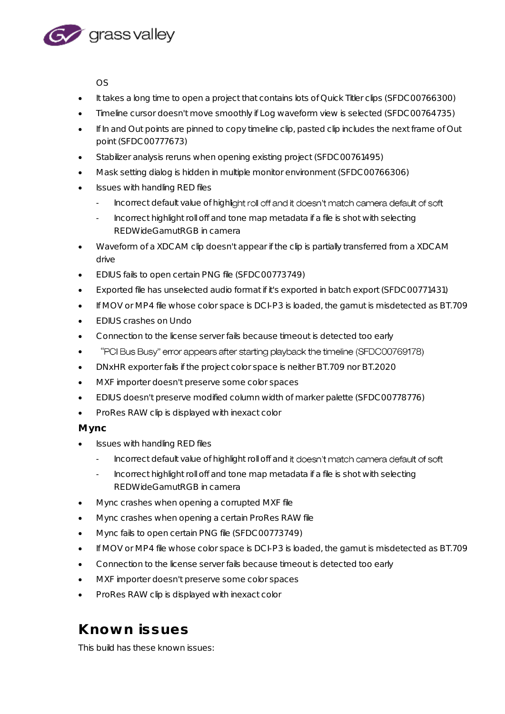

OS

- It takes a long time to open a project that contains lots of Quick Titler clips (SFDC00766300)
- Timeline cursor doesn't move smoothly if Log waveform view is selected (SFDC00764735)
- If In and Out points are pinned to copy timeline clip, pasted clip includes the next frame of Out point (SFDC00777673)
- Stabilizer analysis reruns when opening existing project (SFDC00761495)
- Mask setting dialog is hidden in multiple monitor environment (SFDC00766306)
- Issues with handling RED files
	- Incorrect default value of highlight roll off and it doesn't match camera default of soft
	- Incorrect highlight roll off and tone map metadata if a file is shot with selecting REDWideGamutRGB in camera
- Waveform of a XDCAM clip doesn't appear if the clip is partially transferred from a XDCAM drive
- EDIUS fails to open certain PNG file (SFDC00773749)
- Exported file has unselected audio format if it's exported in batch export (SFDC00771431)
- If MOV or MP4 file whose color space is DCI-P3 is loaded, the gamut is misdetected as BT.709
- EDIUS crashes on Undo
- Connection to the license server fails because timeout is detected too early
- "PCI Bus Busy" error appears after starting playback the timeline (SFDC00769178)
- DNxHR exporter fails if the project color space is neither BT.709 nor BT.2020
- MXF importer doesn't preserve some color spaces
- EDIUS doesn't preserve modified column width of marker palette (SFDC00778776)
- ProRes RAW clip is displayed with inexact color

### Mync

- Issues with handling RED files
	- Incorrect default value of highlight roll off and it doesn't match camera default of soft
	- Incorrect highlight roll off and tone map metadata if a file is shot with selecting REDWideGamutRGB in camera
- Mync crashes when opening a corrupted MXF file
- Mync crashes when opening a certain ProRes RAW file
- Mync fails to open certain PNG file (SFDC00773749)
- If MOV or MP4 file whose color space is DCI-P3 is loaded, the gamut is misdetected as BT.709
- Connection to the license server fails because timeout is detected too early
- MXF importer doesn't preserve some color spaces
- ProRes RAW clip is displayed with inexact color

# Known issues

*This build has these known issues:*